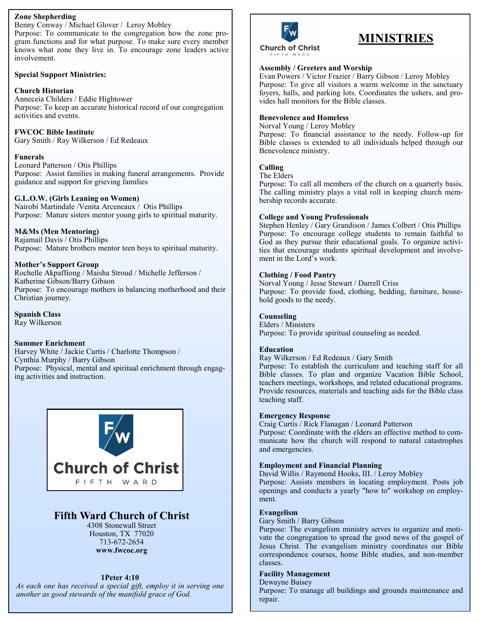### **Zone Shepherding**

Benny Conway / Michael Glover / Leroy Mobley Purpose: To communicate to the congregation how the zone program functions and for what purpose. To make sure every member knows what zone they live in. To encourage zone leaders active involvement.

### **Special Support Ministries:**

### **Church Historian**

Anneceia Childers / Eddie Hightower Purpose: To keep an accurate historical record of our congregation activities and events.

**FWCOC Bible Institute** Gary Smith / Ray Wilkerson / Ed Redeaux

### **Funerals**

Leonard Patterson / Otis Phillips Purpose: Assist families in making funeral arrangements. Provide guidance and support for grieving families

### **G.L.O.W. (Girls Leaning on Women)**

Nairobi Martindale /Venita Arceneaux / Otis Phillips Purpose: Mature sisters mentor young girls to spiritual maturity.

### **M&Ms (Men Mentoring)**

Rajamail Davis / Otis Phillips Purpose: Mature brothers mentor teen boys to spiritual maturity.

### **Mother's Support Group**

Rochelle Akpaffiong / Maisha Stroud / Michelle Jefferson / Katherine Gibson/Barry Gibson Purpose: To encourage mothers in balancing motherhood and their Christian journey.

**Spanish Class** Ray Wilkerson

### **Summer Enrichment**

Harvey White / Jackie Curtis / Charlotte Thompson / Cynthia Murphy / Barry Gibson Purpose: Physical, mental and spiritual enrichment through engaging activities and instruction.



## **Fifth Ward Church of Christ**

4308 Stonewall Street Houston, TX 77020 713-672-2654 **www.fwcoc.org**

### **1Peter 4:10**

*As each one has received a special gift, employ it in serving one another as good stewards of the manifold grace of God.* 



# **MINISTRIES**

### **Assembly / Greeters and Worship**

Evan Powers / Victor Frazier / Barry Gibson / Leroy Mobley Purpose: To give all visitors a warm welcome in the sanctuary foyers, halls, and parking lots. Coordinates the ushers, and provides hall monitors for the Bible classes.

### **Benevolence and Homeless**

Norval Young / Leroy Mobley Purpose: To financial assistance to the needy. Follow-up for Bible classes is extended to all individuals helped through our Benevolence ministry.

### **Calling**

The Elders

Purpose: To call all members of the church on a quarterly basis. The calling ministry plays a vital roll in keeping church membership records accurate.

### **College and Young Professionals**

Stephen Henley / Gary Grandison / James Colbert / Otis Phillips Purpose: To encourage college students to remain faithful to God as they pursue their educational goals. To organize activities that encourage students spiritual development and involvement in the Lord's work.

### **Clothing / Food Pantry**

Norval Young / Jesse Stewart / Darrell Criss Purpose: To provide food, clothing, bedding, furniture, household goods to the needy.

### **Counseling**

Elders / Ministers Purpose: To provide spiritual counseling as needed.

#### **Education**

Ray Wilkerson / Ed Redeaux / Gary Smith

Purpose: To establish the curriculum and teaching staff for all Bible classes. To plan and organize Vacation Bible School, teachers meetings, workshops, and related educational programs. Provide resources, materials and teaching aids for the Bible class teaching staff.

#### **Emergency Response**

Craig Curtis / Rick Flanagan / Leonard Patterson Purpose: Coordinate with the elders an effective method to communicate how the church will respond to natural catastrophes and emergencies.

### **Employment and Financial Planning**

David Willis / Raymond Hooks, III. / Leroy Mobley Purpose: Assists members in locating employment. Posts job openings and conducts a yearly "how to" workshop on employment.

#### **Evangelism**

Gary Smith / Barry Gibson

Purpose: The evangelism ministry serves to organize and motivate the congregation to spread the good news of the gospel of Jesus Christ. The evangelism ministry coordinates our Bible correspondence courses, home Bible studies, and non-member classes.

### **Facility Management**

Dewayne Baisey Purpose: To manage all buildings and grounds maintenance and repair.